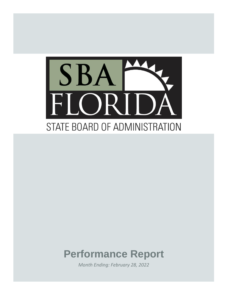

# **Performance Report**

*Month Ending: February 28, 2022*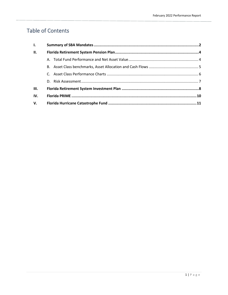# Table of Contents

| $\mathbf{L}$ |  |  |  |  |  |  |  |
|--------------|--|--|--|--|--|--|--|
| <b>II.</b>   |  |  |  |  |  |  |  |
|              |  |  |  |  |  |  |  |
|              |  |  |  |  |  |  |  |
|              |  |  |  |  |  |  |  |
|              |  |  |  |  |  |  |  |
| III.         |  |  |  |  |  |  |  |
| IV.          |  |  |  |  |  |  |  |
| V.           |  |  |  |  |  |  |  |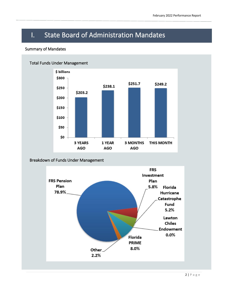# I. State Board of Administration Mandates

## Summary of Mandates



## Breakdown of Funds Under Management

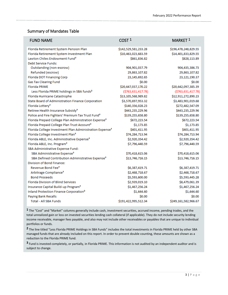# Summary of Mandates Table

| <b>FUND NAME</b>                                                    | COST <sup>1</sup>      | MARKET <sup>1</sup>  |
|---------------------------------------------------------------------|------------------------|----------------------|
| Florida Retirement System Pension Plan                              | \$142,529,581,233.28   | \$196,478,248,829.55 |
| Florida Retirement System Investment Plan                           | \$10,463,023,683.59    | \$14,401,833,829.55  |
| Lawton Chiles Endowment Fund <sup>3</sup>                           | \$861,836.82           | \$828,113.89         |
| Debt Service Funds:                                                 |                        |                      |
| Outstanding (non-escrow)                                            | 904,901,037.79         | 904,435,386.73       |
| Refunded (escrow)                                                   | 29,863,107.82          | 29,863,107.82        |
| Florida DOT Financing Corp                                          | 23,145,692.65          | 23,121,190.37        |
| <b>Gas Tax Clearing Fund</b>                                        | \$0.00                 | \$0.00               |
| <b>Florida PRIME</b>                                                | \$20,647,037,170.22    | \$20,642,097,385.39  |
| Less Florida PRIME holdings in SBA funds <sup>2</sup>               | ( \$763, 631, 417.78 ) | (\$763,631,417.78)   |
| Florida Hurricane Catastrophe                                       | \$13,105,568,989.82    | \$12,911,272,890.23  |
| State Board of Administration Finance Corporation                   | \$3,570,697,953.32     | \$3,483,901,019.68   |
| Florida Lottery <sup>3</sup>                                        | \$140,356,028.23       | \$272,482,547.09     |
| Retiree Health Insurance Subsidy <sup>3</sup>                       | \$443,235,229.96       | \$443,235,229.96     |
| Police and Fire Fighters' Premium Tax Trust Fund <sup>3</sup>       | \$139,255,658.80       | \$139,255,658.80     |
| Florida Prepaid College Plan Administration Expense <sup>3</sup>    | \$672,223.54           | \$672,223.54         |
| Florida Prepaid College Plan Trust Account <sup>3</sup>             | \$1,173.85             | \$1,173.85           |
| Florida College Investment Plan Administration Expense <sup>3</sup> | \$401,411.95           | \$401,411.95         |
| Florida College Investment Plan <sup>3</sup>                        | \$74,284,713.94        | \$74,284,713.94      |
| Florida ABLE, Inc. Administrative Expense <sup>3</sup>              | \$2,920,354.42         | \$2,920,354.42       |
| Florida ABLE, Inc. Program <sup>3</sup>                             | \$7,796,440.59         | \$7,796,440.59       |
| SBA Administrative Expense Fund:                                    |                        |                      |
| SBA Administrative Expense <sup>3</sup>                             | \$70,418,615.06        | \$70,418,615.06      |
| SBA Defined Contribution Administrative Expense <sup>3</sup>        | \$13,746,716.15        | \$13,746,716.15      |
| Division of Bond Finance:                                           |                        |                      |
| Revenue Bond Fee <sup>3</sup>                                       | \$6,387,419.71         | \$6,387,419.71       |
| Arbitrage Compliance <sup>3</sup>                                   | \$2,468,718.67         | \$2,468,718.67       |
| <b>Bond Proceeds</b>                                                | \$5,593,600.00         | \$5,593,445.28       |
| <b>Florida Division of Blind Services</b>                           | \$2,939,019.10         | \$8,479,061.39       |
| Insurance Capital Build-up Program <sup>3</sup>                     | \$1,467,256.24         | \$1,467,256.24       |
| Inland Protection Finance Corporation <sup>3</sup>                  | \$1,644.60             | \$1,644.60           |
| <b>Paying Bank Recalls</b>                                          | \$0.00                 | \$0.00               |
| <b>Total - All SBA Funds</b>                                        | \$191,422,995,512.34   | \$249,161,582,966.67 |

**1** The "Cost" and "Market" columns generally include cash, investment securities, accrued income, pending trades, and the total unrealized gain or loss on invested securities lending cash collateral (if applicable). They do not include security lending income receivable, manager fees payable, and also may not include other receivables or payables that are unique to individual portfolios or funds.

**2** The line titled "Less Florida PRIME Holdings in SBA Funds" includes the total investments in Florida PRIME held by other SBA managed funds that are already included on this report. In order to prevent double counting, these amounts are shown as a reduction to the Florida PRIME fund.

 subject to change. **3** Fund is invested completely, or partially, in Florida PRIME. This information is not audited by an independent auditor and is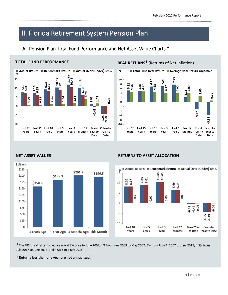# II. Florida Retirement System Pension Plan

# A. Pension Plan Total Fund Performance and Net Asset Value Charts \*



### **TOTAL FUND PERFORMANCE**

# **REAL RETURNS<sup>1</sup>** (Returns of Net Inflation)





### **NET ASSET VALUES RETURNS TO ASSET ALLOCATION**



**1** The FRS's real return objective was 4.3% prior to June 2003, 4% from June 2003 to May 2007, 5% from June 1, 2007 to June 2017, 4.5% from July 2017 to June 2018, and 4.0% since July 2018.

### **\* Returns less than one year are not annualized.**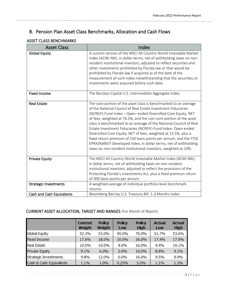# B. Pension Plan Asset Class Benchmarks, Allocation and Cash Flows

# ASSET CLASS BENCHMARKS

| <b>Asset Class</b>               | Index                                                                                                                                                                                                                                                                                                                                                                                                                                                                                                                                                                                                                                                                                         |
|----------------------------------|-----------------------------------------------------------------------------------------------------------------------------------------------------------------------------------------------------------------------------------------------------------------------------------------------------------------------------------------------------------------------------------------------------------------------------------------------------------------------------------------------------------------------------------------------------------------------------------------------------------------------------------------------------------------------------------------------|
| <b>Global Equity</b>             | A custom version of the MSCI All Country World Investable Market<br>Index (ACWI IMI), in dollar terms, net of withholding taxes on non-<br>resident institutional investors, adjusted to reflect securities and<br>other investments prohibited by Florida law or that would be<br>prohibited by Florida law if acquired as of the date of the<br>measurement of such index notwithstanding that the securities or<br>investments were acquired before such date.                                                                                                                                                                                                                             |
| <b>Fixed Income</b>              | The Barclays Capital U.S. Intermediate Aggregate Index.                                                                                                                                                                                                                                                                                                                                                                                                                                                                                                                                                                                                                                       |
| <b>Real Estate</b>               | The core portion of the asset class is benchmarked to an average<br>of the National Council of Real Estate Investment Fiduciaries<br>(NCREIF) Fund Index - Open- ended Diversified Core Equity, NET<br>of fees, weighted at 76.5%, and the non-core portion of the asset<br>class is benchmarked to an average of the National Council of Real<br>Estate Investment Fiduciaries (NCREIF) Fund Index- Open ended<br>Diversified Core Equity, NET of fees, weighted at 13.5%, plus a<br>fixed return premium of 150 basis points per annum, and the FTSE<br>EPRA/NAREIT Developed Index, in dollar terms, net of withholding<br>taxes on non-resident institutional investors, weighted at 10%. |
| <b>Private Equity</b>            | The MSCI All Country World Investable Market Index (ACWI IMI),<br>in dollar terms, net of withholding taxes on non-resident<br>institutional investors, adjusted to reflect the provisions of the<br>Protecting Florida's Investments Act, plus a fixed premium return<br>of 300 basis points per annum.                                                                                                                                                                                                                                                                                                                                                                                      |
| <b>Strategic Investments</b>     | A weighted-average of individual portfolio level benchmark<br>returns.                                                                                                                                                                                                                                                                                                                                                                                                                                                                                                                                                                                                                        |
| <b>Cash and Cash Equivalents</b> | Bloomberg Barclay U.S. Treasury Bill: 1-3 Months Index                                                                                                                                                                                                                                                                                                                                                                                                                                                                                                                                                                                                                                        |

# CURRENT ASSET ALLOCATION, TARGET AND RANGES (For Month of Report)

|                              | <b>Current</b><br>Weight | <b>Policy</b><br>Weight | <b>Policy</b><br>Low | <b>Policy</b><br><b>High</b> | <b>Actual</b><br>Low | <b>Actual</b><br><b>High</b> |
|------------------------------|--------------------------|-------------------------|----------------------|------------------------------|----------------------|------------------------------|
| <b>Global Equity</b>         | 52.3%                    | 53.0%                   | 45.0%                | 70.0%                        | 51.7%                | 53.6%                        |
| <b>Fixed Income</b>          | 17.6%                    | 18.0%                   | 10.0%                | 26.0%                        | 17.4%                | 17.9%                        |
| <b>Real Estate</b>           | 10.0%                    | 10.0%                   | 4.0%                 | 16.0%                        | 9.4%                 | 10.1%                        |
| Private Equity               | 9.1%                     | 6.0%                    | 2.0%                 | 10.0%                        | 8.8%                 | 9.1%                         |
| <b>Strategic Investments</b> | 9.8%                     | 12.0%                   | 0.0%                 | 16.0%                        | 9.5%                 | 9.9%                         |
| Cash & Cash Equivalents      | 1.1%                     | 1.0%                    | 0.25%                | 5.0%                         | 1.1%                 | 1.3%                         |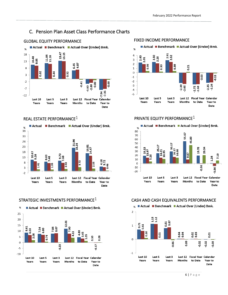# C. Pension Plan Asset Class Performance Charts









# REAL ESTATE PERFORMANCE $1$   $PRIVATE$  EQUITY PERFORMANCE $1$



## STRATEGIC INVESTMENTS PERFORMANCE $1$  CASH AND CASH EQUIVALENTS PERFORMANCE

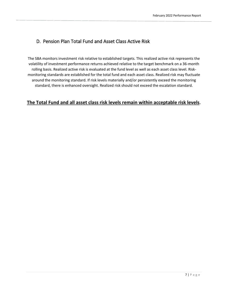# D. Pension Plan Total Fund and Asset Class Active Risk

The SBA monitors investment risk relative to established targets. This realized active risk represents the volatility of investment performance returns achieved relative to the target benchmark on a 36-month rolling basis. Realized active risk is evaluated at the fund level as well as each asset class level. Riskmonitoring standards are established for the total fund and each asset class. Realized risk may fluctuate around the monitoring standard. If risk levels materially and/or persistently exceed the monitoring standard, there is enhanced oversight. Realized risk should not exceed the escalation standard.

# **The Total Fund and all asset class risk levels remain within acceptable risk levels**.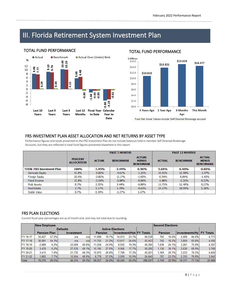# III. Florida Retirement System Investment Plan



## **TOTAL FUND PERFORMANCE**

## TOTAL FUND PERFORMANCE



Fund Net Asset Values include Self-Directed Brokerage account

## FRS INVESTMENT PLAN ASSET ALLOCATION AND NET RETURNS BY ASSET TYPE

Performance figures and totals presented to the FRS Investment Plan do not include balances held in member Self Directed Brokerage Accounts, but they are reflected in total fund figures presented elsewhere in this report.

|                                  |                                     |               | <b>PAST 3 MONTHS</b> |                                                   | <b>PAST 12 MONTHS</b> |                  |                                                   |  |
|----------------------------------|-------------------------------------|---------------|----------------------|---------------------------------------------------|-----------------------|------------------|---------------------------------------------------|--|
|                                  | <b>PERCENT</b><br><b>ALLOCATION</b> | <b>ACTUAL</b> | <b>BENCHMARK</b>     | <b>ACTUAL</b><br><b>MINUS</b><br><b>BENCHMARK</b> | <b>ACTUAL</b>         | <b>BENCHMARK</b> | <b>ACTUAL</b><br><b>MINUS</b><br><b>BENCHMARK</b> |  |
| <b>TOTAL FRS Investment Plan</b> | 100%                                | $-3.45%$      | $-2.49%$             | $-0.96%$                                          | 5.68%                 | 6.48%            | $-0.80%$                                          |  |
| Domestic Equity                  | 42.8%                               | $-5.82%$      | $-4.61%$             | $-1.21%$                                          | 10.01%                | 11.98%           | $-1.97%$                                          |  |
| Foreign Equity                   | 20.6%                               | $-3.82%$      | $-2.17%$             | $-1.65%$                                          | $-0.54%$              | 0.89%            | $-1.43%$                                          |  |
| <b>Fixed Income</b>              | 15.8%                               | $-3.14%$      | $-3.08%$             | $-0.06%$                                          | $-1.88%$              | $-2.21%$         | 0.33%                                             |  |
| Multi Assets                     | 8.3%                                | 2.55%         | 3.44%                | $-0.89%$                                          | 11.75%                | 11.48%           | 0.27%                                             |  |
| <b>Real Estate</b>               | 3.7%                                | 5.17%         | 5.79%                | $-0.63%$                                          | 24.27%                | 18.99%           | 5.28%                                             |  |
| Stable Value                     | 8.7%                                | 0.39%         | $-1.27%$             | 1.67%                                             | ۰                     | ۰                |                                                   |  |

### FRS PLAN ELECTIONS

Current fiscal-year percentages are as of month end, and may not total due to rounding.

|                 |                                   | <b>New Employee</b> |        |                                            |                         |       |         |       |                |       |                  | <b>Second Elections</b> |       |        |  |  |
|-----------------|-----------------------------------|---------------------|--------|--------------------------------------------|-------------------------|-------|---------|-------|----------------|-------|------------------|-------------------------|-------|--------|--|--|
|                 | <b>Defaults</b>                   |                     |        |                                            | <b>Active Elections</b> |       |         |       |                |       |                  |                         |       |        |  |  |
|                 | <b>Pension Plan</b><br>Investment |                     |        | Investment/Hyb FY Totals<br><b>Pension</b> |                         |       | Pension |       | Investments/Hv |       | <b>FY Totals</b> |                         |       |        |  |  |
| <b>FY 16-17</b> | 34.627                            | 57.2%               | n/a    | n/a                                        | 11.898                  | 19.7% | 14,013  | 23.1% | 60.538         | 765   | 16.0%            | 4.008                   | 84.0% | 4,773  |  |  |
| FY 17-18        | 30.081                            | 54.3%               | n/a    | n/a                                        | 11.755                  | 21.2% | 13.617  | 24.6% | 55,453         | 742   | 16.2%            | 3.850                   | 83.8% | 4,592  |  |  |
| FY 18-19        | 2.888                             | 6.2%                | 23.009 | 49.6%                                      | 11.556                  | 24.9% | 8.932   | 19.3% | 46,385         | 1.036 | 24.1%            | 3.261                   | 75.9% | 4.297  |  |  |
| FY 19-20        | 3.478                             | 6.2%                | 27.576 | 49.1%                                      | 15,195                  | 27.0% | 9.956   | 17.7% | 56,205         | 1.130 | 30.1%            | 2.630                   | 69.9% | 3,760  |  |  |
| FY 20-21        | 3.413                             | 7.6%                | 21.735 | 48.3%                                      | 12.075                  | 26.8% | 7.798   | 17.3% | 45.021         | 1.369 | 29.7%            | 3.233                   | 70.3% | 4,602  |  |  |
| FY 21-22        | .883                              | 7.7%                | 12.054 | 48.9%                                      | 6.778                   | 27.5% | 3.930   | 15.9% | 24.645         | 707   | 23.2%            | 2.335                   | 76.8% | 3,042  |  |  |
| Total           | 76.370                            | 26.5%               | 84.374 | 29.3%                                      | 69.257                  | 24.0% | 58.246  | 20.2% | 288,247        | 5.749 | 22.9%            | 19.317                  | 77.1% | 25.066 |  |  |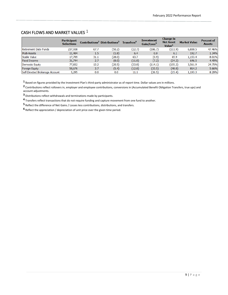# CASH FLOWS AND MARKET VALUES 1

|                                 | <b>Participant</b><br><b>Selections</b> |      | Contributions <sup>2</sup> Distributions <sup>3</sup> | Transfers <sup>4</sup> | <b>Investment</b><br>Gain/Loss <sup>5</sup> | <b>Change in</b><br><b>Net Asset</b><br>Value <sup>6</sup> | <b>Market Value</b> | <b>Percent of</b><br><b>Assets</b> |
|---------------------------------|-----------------------------------------|------|-------------------------------------------------------|------------------------|---------------------------------------------|------------------------------------------------------------|---------------------|------------------------------------|
| Retirement Date Funds           | 237,938                                 | 67.7 | (50.2)                                                | (22.7)                 | (106.7)                                     | (111.9)                                                    | 6,830.5             | 47.46%                             |
| <b>Multi-Assets</b>             | 11,404                                  | 1.5  | (1.8)                                                 | 6.4                    | 0.0                                         | 6.1                                                        | 192.7               | 1.34%                              |
| Stable Value                    | 17,709                                  | 31.1 | (28.0)                                                | 63.7                   | (0.9)                                       | 65.9                                                       | 1,153.4             | 8.01%                              |
| <b>Fixed Income</b>             | 31,744                                  | 2.7  | (8.0)                                                 | (11.8)                 | (7.2)                                       | (24.2)                                                     | 646.5               | 4.49%                              |
| Domestic Equity                 | 77,832                                  | 13.2 | (20.5)                                                | (33.8)                 | (114.1)                                     | (155.2)                                                    | 3,561.9             | 24.75%                             |
| <b>Foreign Equity</b>           | 50,676                                  | 3.7  | (5.4)                                                 | (12.8)                 | (33.5)                                      | (48.0)                                                     | 814.2               | 5.66%                              |
| Self-Directed Brokerage Account | 5,295                                   | 0.0  | 0.0                                                   | 11.1                   | (26.5)                                      | (15.4)                                                     | 1,193.3             | 8.29%                              |

Based on figures provided by the Investment Plan's third-party administrator as of report time. Dollar values are in millions.

 Contributions reflect rollovers in, employer and employee contributions, conversions in (Accumulated Benefit Obligation Transfers, true ups) and account adjustments.

Distributions reflect withdrawals and terminations made by participants.

Transfers reflect transactions that do not require funding and capture movement from one fund to another.

Reflect the difference of Net Gains / Losses less contributions, distributions, and transfers.

Reflect the appreciation / depreciation of unit price over the given time period.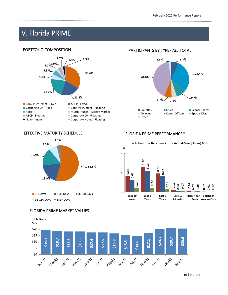# V. Florida PRIME

# PORTFOLIO COMPOSITION



# PARTICIPANTS BY TYPE- 735 TOTAL



# EFFECTIVE MATURITY SCHEDULE FLORIDA PRIME PERFORMANCE\*





## FLORIDA PRIME MARKET VALUES